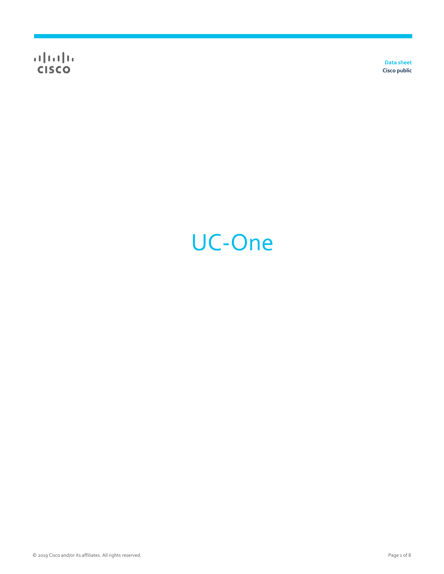$\frac{1}{\sqrt{2}}$ 

**Data sheet Cisco public**

# UC-One

© 2019 Cisco and/or its affiliates. All rights reserved. Page 1 of 8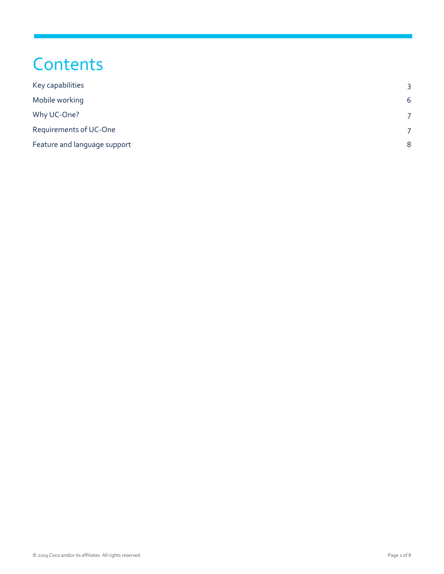## **Contents**

| Key capabilities             | 3              |
|------------------------------|----------------|
| Mobile working               | 6              |
| Why UC-One?                  |                |
| Requirements of UC-One       | $\overline{7}$ |
| Feature and language support | 8              |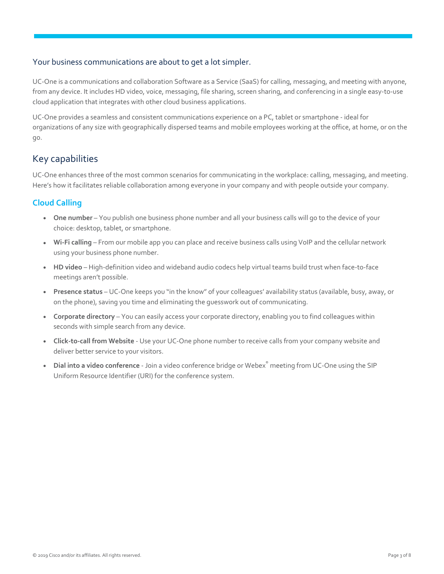## Your business communications are about to get a lot simpler.

UC-One is a communications and collaboration Software as a Service (SaaS) for calling, messaging, and meeting with anyone, from any device. It includes HD video, voice, messaging, file sharing, screen sharing, and conferencing in a single easy-to-use cloud application that integrates with other cloud business applications.

UC-One provides a seamless and consistent communications experience on a PC, tablet or smartphone - ideal for organizations of any size with geographically dispersed teams and mobile employees working at the office, at home, or on the go.

## <span id="page-2-0"></span>Key capabilities

UC-One enhances three of the most common scenarios for communicating in the workplace: calling, messaging, and meeting. Here's how it facilitates reliable collaboration among everyone in your company and with people outside your company.

## **Cloud Calling**

- **One number** –You publish one business phone number and all your business calls will go to the device of your choice: desktop, tablet, or smartphone.
- **Wi-Fi calling** From our mobile app you can place and receive business calls using VoIP and the cellular network using your business phone number.
- **HD video** High-definition video and wideband audio codecs help virtual teams build trust when face-to-face meetings aren't possible.
- **Presence status** UC-One keeps you "in the know" of your colleagues' availability status (available, busy, away, or on the phone), saving you time and eliminating the guesswork out of communicating.
- **Corporate directory** –You can easily access your corporate directory, enabling you to find colleagues within seconds with simple search from any device.
- **Click-to-call from Website** Use your UC-One phone number to receive calls from your company website and deliver better service to your visitors.
- **Dial into a video conference** Join a video conference bridge or Webex<sup>®</sup> meeting from UC-One using the SIP Uniform Resource Identifier (URI) for the conference system.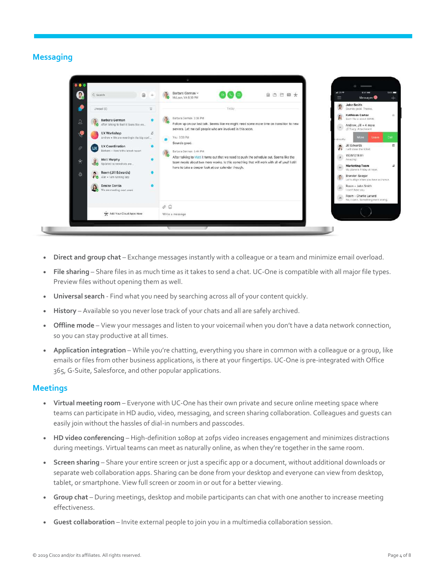## **Messaging**



- **Direct and group chat** Exchange messages instantly with a colleague or a team and minimize email overload.
- **File sharing** Share files in as much time as it takes to send a chat. UC-One is compatible with all major file types. Preview files without opening them as well.
- **Universal search** Find what you need by searching across all of your content quickly.
- **History** Available so you never lose track of your chats and all are safely archived.
- **Offline mode** View your messages and listen to your voicemail when you don't have a data network connection, so you can stay productive at all times.
- **Application integration** While you're chatting, everything you share in common with a colleague or a group, like emails or files from other business applications, is there at your fingertips. UC-One is pre-integrated with Office 365, G-Suite, Salesforce, and other popular applications.

#### **Meetings**

- **Virtual meeting room** Everyone with UC-One has their own private and secure online meeting space where teams can participate in HD audio, video, messaging, and screen sharing collaboration. Colleagues and guests can easily join without the hassles of dial-in numbers and passcodes.
- **HD video conferencing** High-definition 1080p at 20fps video increases engagement and minimizes distractions during meetings. Virtual teams can meet as naturally online, as when they're together in the same room.
- **Screen sharing** Share your entire screen or just a specific app or a document, without additional downloads or separate web collaboration apps. Sharing can be done from your desktop and everyone can view from desktop, tablet, or smartphone. View full screen or zoom in or out for a better viewing.
- **Group chat** During meetings, desktop and mobile participants can chat with one another to increase meeting effectiveness.
- Guest collaboration Invite external people to join you in a multimedia collaboration session.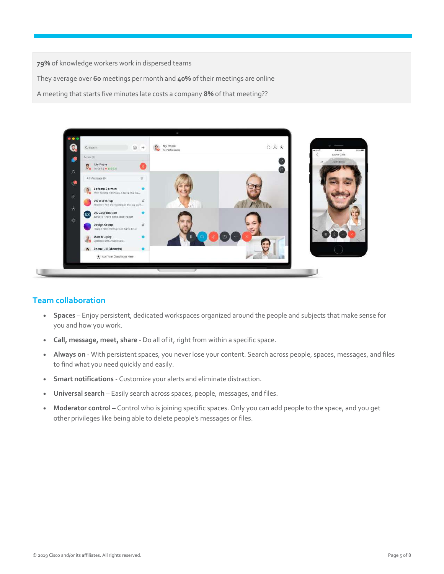**79%** of knowledge workers work in dispersed teams They average over **60** meetings per month and **40%** of their meetings are online A meeting that starts five minutes late costs a company **8%** of that meeting??



## **Team collaboration**

- **Spaces** Enjoy persistent, dedicated workspaces organized around the people and subjects that make sense for you and how you work.
- **Call, message, meet, share** Do all of it, right from within a specific space.
- **Always on** With persistent spaces, you never lose your content. Search across people, spaces, messages, and files to find what you need quickly and easily.
- **Smart notifications** Customize your alerts and eliminate distraction.
- **Universal search**  Easily search across spaces, people, messages, and files.
- **Moderator control** Control who is joining specific spaces. Only you can add people to the space, and you get other privileges like being able to delete people's messages or files.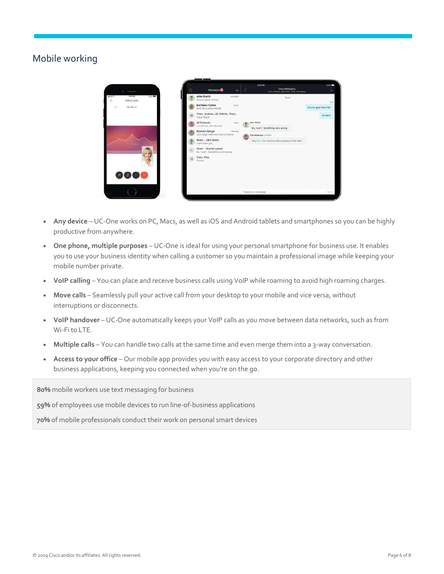## <span id="page-5-0"></span>Mobile working



- **Any device** UC-One works on PC, Macs, as well as iOS and Android tablets and smartphones so you can be highly productive from anywhere.
- **One phone, multiple purposes** UC-One is ideal for using your personal smartphone for business use. It enables you to use your business identity when calling a customer so you maintain a professional image while keeping your mobile number private.
- **VoIP calling** –You can place and receive business calls using VoIP while roaming to avoid high roaming charges.
- **Move calls** Seamlessly pull your active call from your desktop to your mobile and vice versa, without interruptions or disconnects.
- **VoIP handover** UC-One automatically keeps your VoIP calls as you move between data networks, such as from Wi-Fi to LTE.
- **Multiple calls** –You can handle two calls at the same time and even merge them into a 3-way conversation.
- **Access to your office** Our mobile app provides you with easy access to your corporate directory and other business applications, keeping you connected when you're on the go.

**80%** mobile workers use text messaging for business

**59%** of employees use mobile devices to run line-of-business applications

**70%** of mobile professionals conduct their work on personal smart devices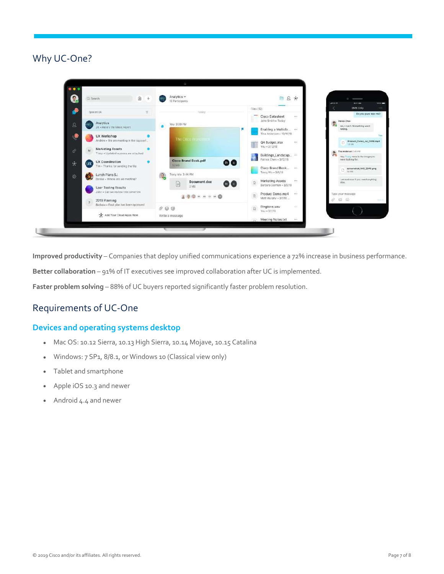<span id="page-6-0"></span>Why UC-One?



**Improved productivity** – Companies that deploy unified communications experience a 72% increase in business performance.

**Better collaboration** – 91% of IT executives see improved collaboration after UC is implemented.

**Faster problem solving** – 88% of UC buyers reported significantly faster problem resolution.

## <span id="page-6-1"></span>Requirements of UC-One

## **Devices and operating systems desktop**

- Mac OS: 10.12 Sierra, 10.13 High Sierra, 10.14 Mojave, 10.15 Catalina
- Windows: 7 SP1, 8/8.1, or Windows 10 (Classical view only)
- Tablet and smartphone
- Apple iOS 10.3 and newer
- Android 4.4 and newer